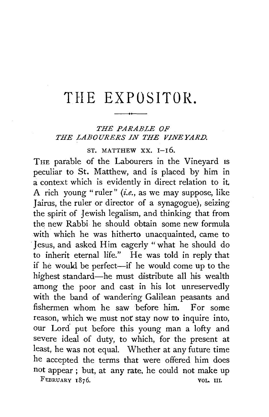## **THE EXPOSITOR.**

## *THE PARABLE OF THE LABOURERS IN THE VINEYARD.*

## ST. MATTHEW XX.  $I-I6$ .

THE parable of the Labourers in the Vineyard is peculiar to St. Matthew, and is placed by him in a context which is evidently in direct relation to it. A rich young "ruler" *(i.e.,* as we may suppose, like Jairus, the ruler or director of a synagogue), seizing the spirit of Jewish legalism, and thinking that from the new Rabbi he should obtain some new formula with which he was hitherto unacquainted, came to ·Jesus, and asked Him eagerly "what he should do to inherit eternal life." He was told in reply that if he would be perfect—if he would come up to the highest standard-he must distribute all his wealth among the poor and cast in his lot unreservedly with the band of wandering Galilean peasants and fishermen whom he saw before him. For some reason, which we must not stay now to inquire into, our Lord' put before this young man a lofty and severe ideal of duty, to which, for the present at least, he was not equal. Whether at any future time he accepted the terms that were offered him does not appear ; but, at any rate, he could not make up FEBRUARY 1876. VOL. III.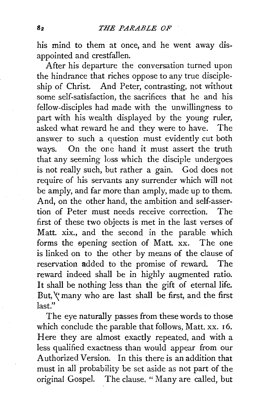his mind to them at once, and he went away disappointed and crestfallen.

After his departure the conversation turned upon the hindrance that riches oppose to any true discipleship of Christ. And Peter, contrasting, not without some self-satisfaction, the sacrifices that he and his fellow-disciples had made with the unwillingness to part with his wealth displayed by the young ruler, asked what reward he and they were to have. The answer to such a question must evidently cut both ways. On the one hand it must assert the truth that any seeming loss which the disciple undergoes is not really such, but rather a gain. God does not require of his servants any surrender which will not be amply, and far more than amply, made up to them. And, on the other hand, the ambition and self-assertion of Peter must needs receive correction. The first of these two objects is met in the last verses of Matt. xix., and the second in the parable which forms the opening section of Matt. xx. The one is linked on to the other by means of the clause of reservation added to the promise of reward. The reward indeed shall be in highly augmented ratio. It shall be nothing less than the gift of eternal life. But, Y' many who are last shall be first, and the first last."

The eye naturally passes from these words to those which conclude the parable that follows, Matt. xx. 16. Here they are almost exactly repeated, and with a less qualified exactness than would appear from our Authorized Version. In this there is an addition that must in all probability be set aside as not part of the original Gospel. The clause, "Many are called, but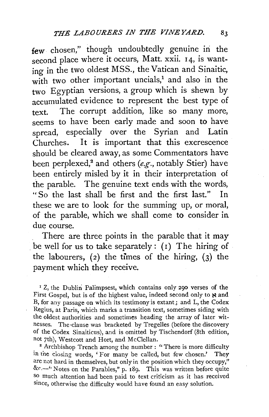few chosen," though undoubtedly genuine in the second place where it occurs, Matt. xxii. 14, is wanting in the two oldest MSS., the Vatican and Sinaitic, with two other important uncials,<sup>1</sup> and also in the two Egyptian versions, a group which is shewn by accumulated evidence to represent the best type of text. The corrupt addition, like so many more, seems to have been early made and soon to have spread, especially over the Syrian and Latin Churches. It is important that this excrescence should be cleared away, as some Commentators have been perplexed,<sup>2</sup> and others (e.g., notably Stier) have been entirely misled by it in their interpretation of the parable. The genuine text ends with the words, "So the last shall be first and the first last." In these we are to look for the summing up, or moral, of the parable, which we shall come to consider in due course.

There are three points in the parable that it may be well for us to take separately :  $(i)$  The hiring of the labourers,  $(2)$  the times of the hiring,  $(3)$  the payment which they receive.

<sup>1</sup> Z, the Dublin Palimpsest, which contains only 290 verses of the First Gospel, but is of the highest value, indeed second only to  $\boldsymbol{\times}$  and B, for any passage on which its testimony is extant; and L, the Codex Regius, at Paris, which marks a transition text, sometimes siding with the oldest authorities and sometimes heading the array of later witnesses. The ·clause was bracketed by Tregelles (before the discovery of the Codex Sinaiticus), and is omitted by Tischendorf (8th edition,

not 7th), Westcott and Hort, and McClellan.<br><sup>2</sup> Archbishop Trench among the number : "There is more difficulty in the ciosing words, 'For many be called, but few chosen.' They are not hard in themselves, but only in the position which they occupy," &c.-' Notes on the Parables," p. 189. This was written before quite so much attention had been paid to text criticism as it has received since, otherwise the difficulty would have found an easy solution.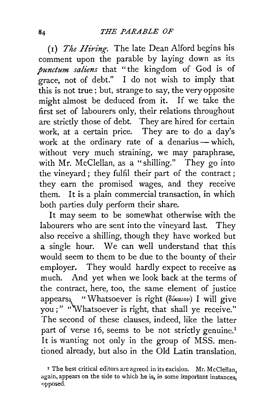(1) *The Hiring-.* The late Dean Alford begins his comment upon the parable by laying down as its punctum saliens that "the kingdom of God is of grace, not of debt." I do not wish to imply that this is not true ; but, strange to say, the very opposite might almost be deduced from it. If we take the first set of labourers only, their relations throughout are strictly those of debt. They are hired for certain work, at a certain price. They are to do a day's work at the ordinary rate of a denarius- which, without very much straining, we may paraphrase, with Mr. McClellan, as a "shilling." They go into the vineyard ; they fulfil their part of the contract ; they earn the promised wages, and they receive them. It is a plain commercial transaction, in which both parties duly perform their share.

It may seem to be somewhat otherwise with the labourers who are sent into the vineyard last. They also receive a shilling, though they have worked but a single hour. We can well understand that this would seem to them to be due to the bounty of their employer. They would hardly expect to receive as much. And yet when we look back at the terms of the contract, here, too, the same element of justice appears, "Whatsoever is right *(Sikatov*) I will give you;" "Whatsoever is right, that shall ye receive." The second of these clauses, indeed, like the latter part of verse 16, seems to be not strictly genuine.<sup>1</sup> It is wanting not only in the group of MSS. mentioned already, but also in the Old Latin translation.

<sup>&</sup>lt;sup>1</sup> The best critical editors are agreed in its excision. Mr. McClellan, again, appears on the side to which he is, in some important instances. opposed.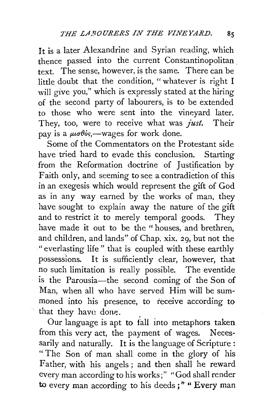It is a later Alexandrine and Syrian reading, which thence passed into the current Constantinopolitan text. The sense, however, is the same. There can be little doubt that the condition, "whatever is right I will give you," which is expressly stated at the hiring of the second party of labourers, is to be extended to those who were sent into the vineyard later. They, too, were to receive what was *just.* Their pay is a  $\mu \sigma \theta$ *b*s,—wages for work done.

Some of the Commentators on the Protestant side have tried hard to evade this conclusion. Starting from the Reformation doctrine of Justification by Faith only, and seeming to see a contradiction of this in an exegesis which would represent the gift of God as in any way earned by the works of man, they have sought to explain away the nature of the gift and to restrict it to merely temporal goods. They have made it out to be the " houses, and brethren, and children, and lands" of Chap. xix. 29, but not the ·" everlasting life " that is coupled with these earthly possessions. It is sufficiently clear, however, that no such limitation is really possible. The eventide is the Parousia—the second coming of the Son of Man, when all who have served Him will be summoned into his presence, to receive according to that they have done.

Our language is apt to fall into metaphors taken from this very act, the payment of wages. Necessarily and naturally. It is the language of Scripture : " The Son of man shall come in the glory of his Father, with his angels ; and then shall he reward every man according to his works ; " "God shall render to every man according to his deeds;" "Every man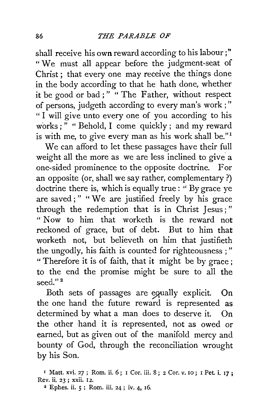shall receive his own reward according to his labour ; " "We must all appear before the judgment-seat of Christ; that every one may receive the things done in the body according to that he hath done, whether it be good or bad ; " " The Father, without respect of persons, judgeth according to every man's work ; " "I will give unto every one of you according to his works ; " " Behold, I come quickly ; and my reward is with me, to give every man as his work shall be." $1$ 

We can afford to let these passages have their full weight all the more as we are less inclined to give a one-sided prominence to the opposite doctrine. For an opposite (or, shall we say rather, complementary?) doctrine there is, which is equally true : " By grace ye are saved;" "We are justified freely by his grace through the redemption that is in Christ Jesus ; " " Now to him that worketh is the reward not reckoned of grace, but of debt. But to him that worketh not, but believeth on him that justifieth the ungodly, his faith is counted for righteousness;" "Therefore it is of faith, that it might be by grace; to the end the promise might be sure to all the seed."<sup>2</sup>

Both sets of passages are equally explicit. On the one hand the future reward is represented as determined by what a man does to deserve it. On the other hand it is represented, not as owed or earned, but as given out of the manifold mercy and bounty of God, through the reconciliation wrought by his Son.

<sup>1</sup> Matt. xvi. 27 ; Rom. ii. 6; I Cor. iii. 8; 2 Cor. v. 10; I Pet. i. 17; Rev. ii. 23 ; xxii. 12.

*z* Ephes. ii. 5 ; Rom. iii. 24; iv. 4, 16.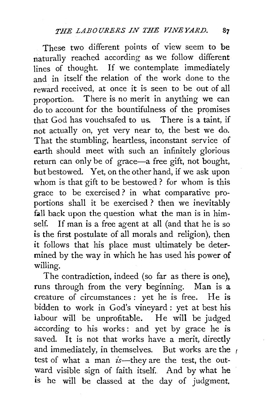These two different points of view seem to be naturally reached according as we follow different lines of thought. If we contemplate immediately and in itself the relation of the work done to the reward received, at once it is seen to be out of all proportion. There is no merit in anything we can do to account for the bountifulness of the promises that God has vouchsafed to us. There is a taint, if not actually on, yet very near to, the best we do. That the stumbling, heartless, inconstant service of earth should meet with such an infinitely glorious return can only be of grace-a free gift, not bought, but bestowed. Yet, on the other hand, if we ask upon whom is that gift to be bestowed ? for whom is this grace to be exercised ? in what comparative proportions shall it be exercised ? then we inevitably fall back upon the question what the man is in himself. If man is a free agent at all (and that he is so is the first postulate of all morals and religion), then it follows that his place must ultimately be determined by the way in which he has used his power of willing.

The contradiction, indeed (so far as there is one), runs through from the very beginning. Man is a creature of circumstances : yet he is free. He is bidden to work in God's vineyard : yet at best his labour will be unprofitable. He will be judged according to his works: and yet by grace he is saved. It is not that works have a merit, directly and immediately, in themselves. But works are the  $r$ test of what a man *is*—they are the test, the outward visible sign of faith itself. And by what he is he will be classed at the day of judgment.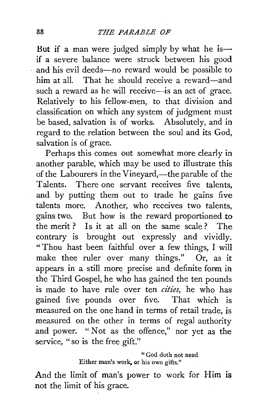But if a man were judged simply by what he isif a severe balance were struck between his good and his evil deeds-no reward would be possible to him at all. That he should receive a reward-and such a reward as he will receive-is an act of grace. Relatively to his fellow-men, to that division and classification on which any system of judgment must be based, salvation is of works. Absolutely, and in regard to the relation between the soul and its God, salvation is of grace.

Perhaps this comes out somewhat more clearly in another parable, which may be used to illustrate this of the Labourers in the Vineyard,—the parable of the Talents. There one servant receives five talents, and by putting them out to trade he gains five talents more. Another, who receives two talents, gains two. But how is the reward proportioned to the merit ? Is it at all on the same scale ? The contrary is brought out expressly and vividly. " Thou hast been faithful over a few things, I will make thee ruler over many things." Or, as it appears in a still more precise and definite form ih the Third Gospel, he who has gained the ten pounds is made to have rule over ten *cities,* he who has gained five pounds over five. That which is measured on the one hand in terms of retail trade, is measured on the other in terms of regal authority and power. " Not as the offence," nor yet as the service, "so is the free gift."

> " God doth not need Either man's work, or his own gifts."

And the limit of man's power to work for Him is not the limit of his grace.

l.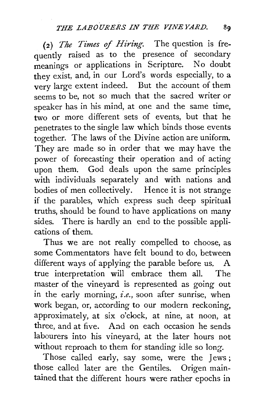(2) *The Times of Hiring.* The question is frequently raised as to the presence of secondary meanings or applications in Scripture. No doubt they exist, and, in our Lord's words especially, to a very large extent indeed. But the account of them seems to be, not so much that the sacred writer or speaker has in his mind, at one and the same time, two or more different sets of events, but that he penetrates to the single law which binds those events together. The laws of the Divine action are uniform. They are made so in order that we may have the power of forecasting their operation and of acting upon them. God deals upon the same principles with individuals separately and with nations and bodies of men collectively. Hence it is not strange if the parables, which express such deep spiritual truths, should be found to have applications on many sides. There is hardly an end to the possible applications of them.

Thus we are not really compelled to choose, as some Commentators have felt bound to do, between different ways of applying the parable before us. A true interpretation will embrace them all. The master of the vineyard is represented as going out in the early morning, *i.e.,* soon after sunrise, when work began, or, according to our modern reckoning, approximately, at six o'clock, at nine, at noon, at three, and at five. And on each occasion he sends labourers into his vineyard, at the later hours not without reproach to them for standing idle so long.

Those called early, say some, were the Jews ; those called later are the Gentiles. Origen maintained that the different hours were rather epochs in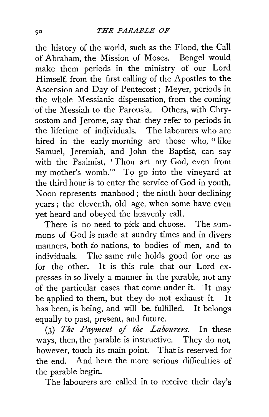the history of the world, such as the Flood, the Call of Abraham, the Mission of Moses. Bengel would . make them periods in the ministry of our Lord Himself, from the first calling of the Apostles to the Ascension and Day of Pentecost; Meyer, periods in the whole Messianic dispensation, from the coming of the Messiah to the Parousia. Others, with Chrysostom and Jerome, say that they refer to periods in the lifetime of individuals. The labourers who are hired in the early morning are those who, " like Samuel, Jeremiah, and John the Baptist, can say with the Psalmist, ' Thou art my God, even from my mother's womb."' To go into the vineyard at the third hour is to enter the service of God in youth. Noon represents manhood ; the ninth hour declining years ; the eleventh, old age, when some have even yet heard and obeyed the heavenly call.

There is no need to pick and choose. The summons of God is made at sundry times and in divers manners, both to nations, to bodies of men, and to individuals. The same rule holds good for one as for the other. It is this rule that our Lord expresses in so lively a manner in the parable, not any of the particular cases that come under it. It may be applied to them, but they do not exhaust it. It has been, is being, and will be, fulfilled. It belongs equally to past, present, and future.

(3) *The Payment of the Labourers.* In these ways, then, the parable is instructive. They do not, however, touch its main point. That is reserved for the end. And here the more serious difficulties of the parable begin.

The labourers are called in to receive their day's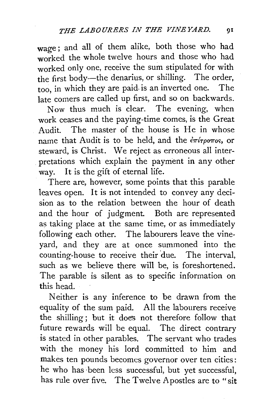wage; and all of them alike, both those who had worked the whole twelve hours and those who had worked only one, receive the sum stipulated for with the first body-the denarius, or shilling. The order, too, in which they are paid. is an inverted one. The late comers are called up first, and so on backwards.

Now thus much is clear. The evening, when work ceases and the paying-time comes, is the Great Audit. The master of the house is He in whose name that Audit is to be held, and the  $\epsilon \pi /T$  porton, or steward, is Christ. We reject as erroneous all inter- . pretations which explain the payment in any other way. It is the gift of eternal life.

There are, however, some points that this parable leaves open. It is not intended to convey any decision as to the relation between the hour of death and the hour of judgment. Both are represented as taking place at the same time, or as immediately following each other. The labourers leave the vineyard, and they are at once summoned into the counting-house to receive their due. The interval. such as we believe there will be, is foreshortened. The parable is silent as to specific information on this head.

Neither is any inference to be drawn from the equality of the sum paid. All the labourers receive the shilling ; but it does not therefore follow that future rewards will be equal. The direct contrary is stated in other parables. The servant who trades with the money his lord committed to him and makes ten pounds becomes governor over ten cities: he who has ·been less successful, but yet successful, has rule over five. The Twelve Apostles are to "sit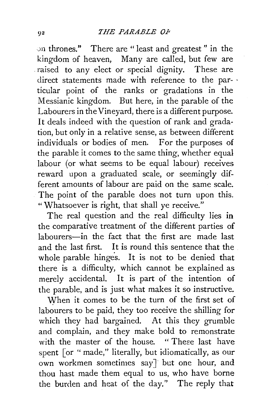on thrones." There are "least and greatest" in the kingdom of heaven, Many are called, but few are . raised to any elect or special dignity. These are direct statements made with reference to the par- · ticular point of the ranks or gradations in the Messianic kingdom. But here, in the parable of the Labourers in the Vineyard, there is a different purpose. It deals indeed with the question of rank and gradation, but only in a relative sense, as between different individuals or bodies of men. For the purposes of the parable it comes to the same thing, whether equal labour (or what seems to be equal labour) receives reward upon a graduated scale, or seemingly different amounts of labour are paid on the same scale. The point of the parable does not turn upon this. "Whatsoever is right, that shall ye receive."

The real question and the real difficulty lies in the comparative treatment of the different parties of labourers-in the fact that the first are made last and the last first. It is round this sentence that the whole parable hinges. It is not to be denied that there is a difficulty, which cannot be explained as merely accidental. It is part of the intention of the parable, and is just what makes it so instructive.

When it comes to be the turn of the first set of labourers to be paid, they too receive the shilling for which they had bargained. At this they grumble and complain, and they make bold to remonstrate with the master of the house. "These last have spent [or " made," literally, but idiomatically, as our own workmen sometimes say] but one hour, and thou hast made them equal to us, who have borne the burden and heat of the day." The reply that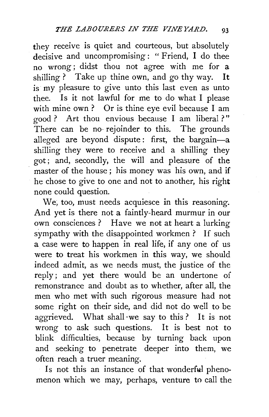they receive is quiet and courteous, but absolutely decisive and uncompromising: "Friend, I do thee no wrong ; didst thou not agree with me for a shilling? Take up thine own, and go thy way. It is my pleasure to give unto this last even as unto thee. Is it not lawful for me to do what I please with mine own ? Or is thine eye evil because I am good ? Art thou envious because I am liberal ?" There can be no rejoinder to this. The grounds alleged are beyond dispute: first, the bargain-a shilling they were to receive and a shilling they got ; and, secondly, the will and pleasure of the master of the house ; his money was his own, and if he chose to give to one and not to another, his right none could question.

We, too, must needs acquiesce in this reasoning. And yet is there not a faintly-heard murmur in our own consciences ? Have we not at heart a lurking sympathy with the disappointed workmen ? If such a case were to happen in real life, if any one of us were to treat his workmen in this way, we should indeed admit, as we needs must, the justice of the reply; and yet there would be an undertone of remonstrance and doubt as to whether, after all, the men who met with such rigorous measure had not some right on their side, and did not do well to be aggrieved. What shall ·we say to this ? It is not wrong to ask such questions. It is best not to blink difficulties, because by turning back upon and seeking to penetrate deeper into them, we often reach a truer meaning.

Is not this an instance of that wonderful phenomenon which we may, perhaps, venture to call the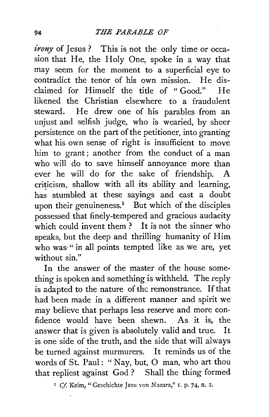*irony* of Jesus ? This is not the only time or occasion that He, the Holy One, spoke in a way that may seem for the moment to a superficial eye to contradict the tenor of his own mission. He disclaimed for Himself the title of " Good." He likened the Christian elsewhere to a fraudulent steward. He drew one of his parables from an unjust and selfish judge, who is wearied, by sheer persistence on the part of the petitioner, into granting what his own sense of right is insufficient to move him to grant; another from the conduct of a man who will do to save himself annoyance more than ever he will do for the sake of friendship. A criticism, shallow with all its ability and learning, has stumbled at these sayings and cast a doubt upon their genuineness.<sup>1</sup> But which of the disciples possessed that finely-tempered and gracious audacity which could invent them? It is not the sinner who speaks, but the deep and thrilling humanity of Him who was·" in all points tempted like as we are, yet without sin."

In the answer of the master of the house something is spoken and something is withheld. The reply is adapted to the nature of the remonstrance. If that had been made in a different manner and spirit we may believe that perhaps less reserve and more confidence would have been shewn. As it is, the answer that is given is absolutely valid and true. It is one side of the truth, and the side that will always be turned against murmurers. It reminds us of the words of St. Paul: "Nay, but, 0 man, who art thou that repliest against God ? Shall the thing formed

r *Cf.* Keim, "Geschichte Jesu von Nazara," r. p. 74, n. 2.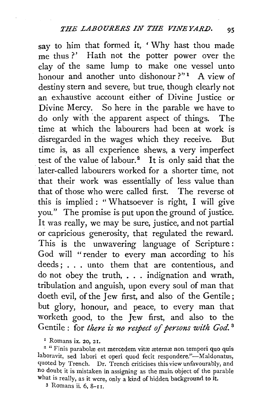say to him that formed it, ' Why hast thou made me thus?' Hath not the potter power over the clay of the same lump to make one vessel unto honour and another unto dishonour?"<sup>1</sup> A view of destiny stern and severe, but true, though clearly not an exhaustive account either of Divine Justice or Divine Mercy. So here in the parable we have to do only with the apparent aspect of things. The time at which the labourers had been at work is disregarded in the wages which they receive. But time is, as all experience shews, a very imperfect test of the value of labour. $<sup>2</sup>$  It is only said that the</sup> later-called labourers worked for a shorter time, not that their work was essentially of less value than that of those who were called first. The reverse ot this is implied : "Whatsoever is right, I will give you." The promise is put upon the ground of justice. It was really, we may be sure, justice, and not partial or capricious generosity, that regulated the reward. This is the unwavering language of Scripture: God will "render to every man according to his deeds ; . . . unto them that are contentious, and do not obey the truth, . . . indignation and wrath, tribulation and anguish, upon every soul of man that doeth evil, of the Jew first, and also of the Gentile ; but glory, honour, and peace, to every man that worketh good, to the Jew first, and also to the Gentile: for *there is no respect of persons with God.* <sup>8</sup>

 $I$  Romans ix. 20, 21.

<sup>2</sup> " Finis parabolæ est mercedem vitæ æternæ non tempori quo quis laboravit, sed labori et operi quod fecit respondere."-Maldonatus, quoted by Trench. Dr. Trench criticises this view unfavourably, and no doubt it is mistaken in assigning as the main object of the parable what is really, as it were, only a kind of hidden background to it.

3 Romans ii. 6, 8-11.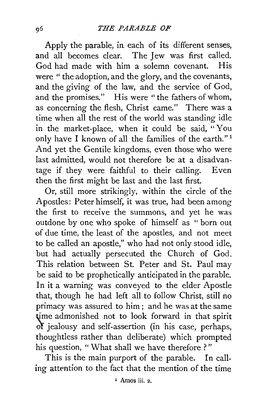Apply the parable, in each of its different senses, and all becomes clear. The Jew was first called. God had made with him a solemn covenant. His were " the adoption, and the glory, and the covenants, and the giving of the law, and the service of God, and the promises." His were "the fathers of whom, as concerning the flesh, Christ came." There was a time when all the rest of the world was standing idle in the market-place, when it could be said, " You only have I known of all the families of the earth."<sup>1</sup> And yet the Gentile kingdoms, even those who were last admitted, would not therefore be at a disadvantage if they were faithful to their calling. Even then the first might be last and the last first.

Or, still more strikingly, within the circle of the Apostles: Peter himself, it was true, had been among the first to receive the summons, and yet he was outdone by one who spoke of himself as " born out of due time, the least of the apostles, and not meet to be called an apostle," who had not only stood idle, but had actually persecuted the Church of God. This relation between St. Peter and St. Paul may be said to be prophetically anticipated in the parable. In it a warning was conveyed to the elder Apostle that, though he had left all to follow Christ, still no primacy was assured to him ; and he was at the same time admonished not to look forward in that spirit o't jealousy and self-assertion (in his case, perhaps, thoughtless rather than deliberate) which prompted his question, "What shall we have therefore ? "

This is the main purport of the parable. In calling attention to the fact that the mention of the time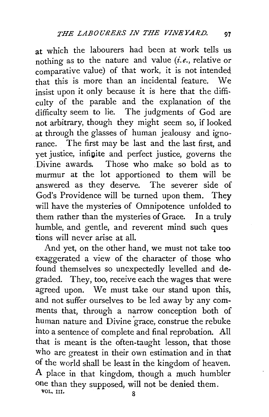at which the labourers had been at work tells us nothing as to the nature and value *(i.e.,* relative or comparative value) of that work, it is not intended that this is more than an incidental feature. We insist upon it only because it is here that the difficulty of the parable and the explanation of the difficulty seem to lie. The judgments of God are not arbitrary, though they might seem so, if looked at through the glasses of human jealousy and ignorance. The first may be last and the last first, and vet justice, infinite and perfect justice, governs the Divine awards. Those who make so bold as to murmur at the lot apportioned to them will be answered as they deserve. The severer side of God's Providence will be turned upon them. They will have the mysteries of Omnipotence unfolded to them rather than the mysteries of Grace. In a truly humble, and gentle, and reverent mind such ques tions will never arise at all.

And yet, on the other hand, we must not take too exaggerated a view of the character of those who found themselves so unexpectedly levelled and degraded. They, too, receive each the wages that were agreed upon. We must take our stand upon this, and not suffer ourselves to be led away by any comments that, through a narrow conception both of human nature and Divine grace, construe the rebuke into a sentence of complete and final reprobation. All that is meant is the often-taught lesson, that those who are greatest in their own estimation and in that of the world shall be least in the kingdom of heaven. A place in that kingdom, though a much humbler one than they supposed, will not be denied them. VOL. III.  $\frac{1}{8}$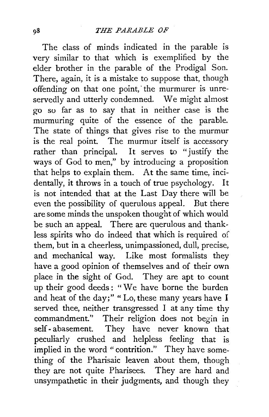The class of minds indicated in the parable is very similar to that which is exemplified by the elder brother in the parable of the Prodigal Son. There, again, it is a mistake to suppose that, though offending on that one point, the murmurer is unreservedly and utterly condemned. We might almost go so far as to say that in neither case is the murmuring quite of the essence of the parable. The state of things that gives rise to the murmur is the real point. The murmur itself is accessory rather than principal. It serves to "justify the ways of God to men," by introducing a proposition that helps to explain them. At the same time, incidentally, it throws in a touch of true psychology. It is not intended that at the Last Day there will be even the possibility of querulous appeal. But there are some minds the unspoken thought of which would be such an appeal. There are querulous and thankless spirits who do indeed that which is required of them, but in a cheerless, unimpassioned, dull, precise, and mechanical way. Like most formalists they have a good opinion of themselves and of their own place in the sight of God. They are apt to count up their good deeds : " We have borne the burden and heat of the day;" "Lo, these many years have I served thee, neither transgressed I at any time thy commandment." Their religion does not begin in self- abasement. They have never known that peculiarly crushed and helpless feeling that is implied in the word "contrition." They have something of the Pharisaic leaven about them, though they are not quite Pharisees. They are hard and unsympathetic in their judgments, and though they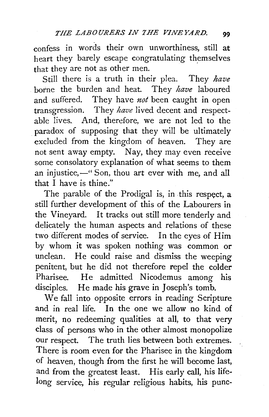confess in words their own unworthiness, still at heart they barely escape congratulating themselves that they are not as other men.

Still there is a truth in their plea. They *have*  borne the burden and heat. They *have* laboured and suffered. They have *not* been caught in open transgression. They *have* lived decent and respectable lives. And, therefore, we are not led to the paradox of supposing that they will be ultimately excluded from the kingdom of heaven. They are not sent away empty. Nay, they may even receive some consolatory explanation of what seems to them an injustice, - "Son, thou art ever with me, and all that I have is thine."

The parable of the Prodigal is, in this respect, a still further development of this of the Labourers in the Vineyard. It tracks out still more tenderly and delicately the human aspects and relations of these two different modes of service. In the eyes of Him by whom it was spoken nothing was common or unclean. He could raise and dismiss the weeping penitent, but he did not therefore repel the colder Pharisee. He admitted Nicodemus among his disciples. He made his grave in Joseph's tomb.

We fall into opposite errors in reading Scripture and in real life. In the one we allow no kind of merit, no redeeming qualities at all, to that very class of persons who in the other almost monopolize our respect. The truth lies between both extremes. There is room even for the Pharisee in the kingdom of heaven, though from the first he will become last, and from the greatest least. His early call, his lifelong service, his regular religious habits, his punc-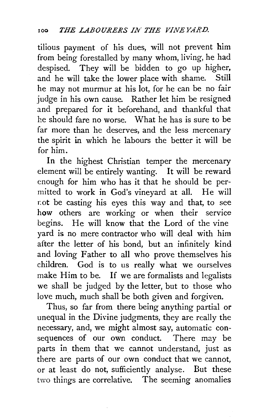tilious payment of his dues, will not prevent him from being forestalled by many whom, living, he had despised. They will be bidden to go up higher, and he will take the lower place with shame. Still he may not murmur at his lot, for he can be no fair judge in his own cause. Rather let him be resigned and prepared for it beforehand, and thankful that he should fare no worse. What he has is sure to be far more than he deserves, and the less mercenary the spirit in which he labours the better it will be for him.

In the highest Christian temper the mercenary element will be entirely wanting. It will be reward enough for him who has it that he should be permitted to work in God's vineyard at all. He will r.ot be casting his eyes this way and that, to see how others are working or when their service begins. He will know that the Lord of the vine yard is no mere contractor who will deal with him after the letter of his bond, but an infinitely kind and loving Father to all who prove themselves his children. God is to us really what we ourselves make Him to be. If we are formalists and legalists we shall be judged by the letter, but to those who love much, much shall be both given and forgiven.

Thus, so far from there being anything partial or unequal in the Divine judgments, they are really the necessary, and, we might almost say, automatic consequences of our own conduct. There may be parts in them that we cannot understand, just as there are parts of our own conduct that we cannot, or at least do not, sufficiently analyse. But these two things are correlative. The seeming anomalies